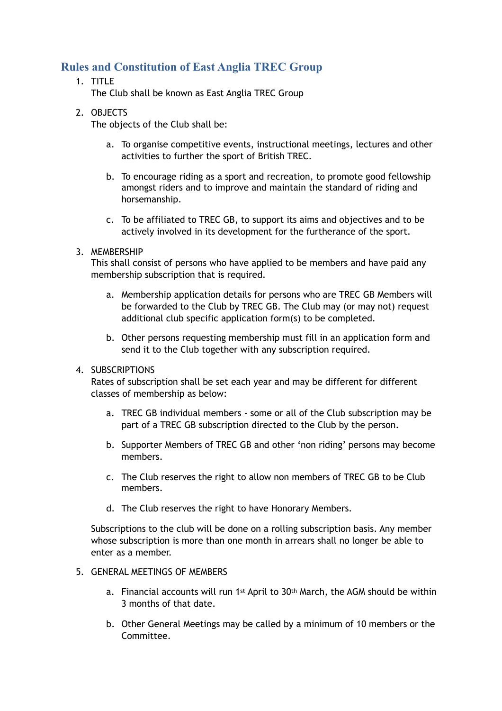# **Rules and Constitution of East Anglia TREC Group**

1. TITLE

The Club shall be known as East Anglia TREC Group

2. OBJECTS

The objects of the Club shall be:

- a. To organise competitive events, instructional meetings, lectures and other activities to further the sport of British TREC.
- b. To encourage riding as a sport and recreation, to promote good fellowship amongst riders and to improve and maintain the standard of riding and horsemanship.
- c. To be affiliated to TREC GB, to support its aims and objectives and to be actively involved in its development for the furtherance of the sport.

## 3. MEMBERSHIP

This shall consist of persons who have applied to be members and have paid any membership subscription that is required.

- a. Membership application details for persons who are TREC GB Members will be forwarded to the Club by TREC GB. The Club may (or may not) request additional club specific application form(s) to be completed.
- b. Other persons requesting membership must fill in an application form and send it to the Club together with any subscription required.

#### 4. SUBSCRIPTIONS

Rates of subscription shall be set each year and may be different for different classes of membership as below:

- a. TREC GB individual members some or all of the Club subscription may be part of a TREC GB subscription directed to the Club by the person.
- b. Supporter Members of TREC GB and other 'non riding' persons may become members.
- c. The Club reserves the right to allow non members of TREC GB to be Club members.
- d. The Club reserves the right to have Honorary Members.

Subscriptions to the club will be done on a rolling subscription basis. Any member whose subscription is more than one month in arrears shall no longer be able to enter as a member.

#### 5. GENERAL MEETINGS OF MEMBERS

- a. Financial accounts will run 1<sup>st</sup> April to  $30<sup>th</sup>$  March, the AGM should be within 3 months of that date.
- b. Other General Meetings may be called by a minimum of 10 members or the Committee.